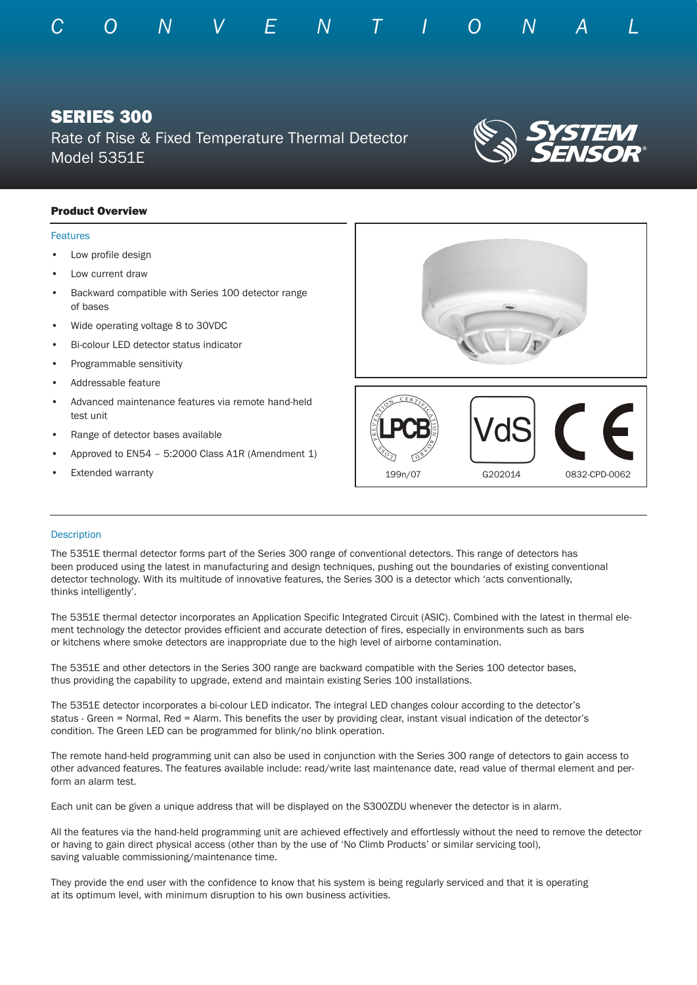

# Product Overview

## Features

- Low profile design
- Low current draw
- Backward compatible with Series 100 detector range of bases
- Wide operating voltage 8 to 30VDC
- Bi-colour LED detector status indicator
- Programmable sensitivity
- Addressable feature
- Advanced maintenance features via remote hand-held test unit
- Range of detector bases available
- Approved to EN54 5:2000 Class A1R (Amendment 1)
- **Extended warranty**



## **Description**

The 5351E thermal detector forms part of the Series 300 range of conventional detectors. This range of detectors has been produced using the latest in manufacturing and design techniques, pushing out the boundaries of existing conventional detector technology. With its multitude of innovative features, the Series 300 is a detector which 'acts conventionally, thinks intelligently'.

The 5351E thermal detector incorporates an Application Specific Integrated Circuit (ASIC). Combined with the latest in thermal element technology the detector provides efficient and accurate detection of fires, especially in environments such as bars or kitchens where smoke detectors are inappropriate due to the high level of airborne contamination.

The 5351E and other detectors in the Series 300 range are backward compatible with the Series 100 detector bases, thus providing the capability to upgrade, extend and maintain existing Series 100 installations.

The 5351E detector incorporates a bi-colour LED indicator. The integral LED changes colour according to the detector's status - Green = Normal, Red = Alarm. This benefits the user by providing clear, instant visual indication of the detector's condition. The Green LED can be programmed for blink/no blink operation.

The remote hand-held programming unit can also be used in conjunction with the Series 300 range of detectors to gain access to other advanced features. The features available include: read/write last maintenance date, read value of thermal element and perform an alarm test.

Each unit can be given a unique address that will be displayed on the S300ZDU whenever the detector is in alarm.

All the features via the hand-held programming unit are achieved effectively and effortlessly without the need to remove the detector or having to gain direct physical access (other than by the use of 'No Climb Products' or similar servicing tool), saving valuable commissioning/maintenance time.

They provide the end user with the confidence to know that his system is being regularly serviced and that it is operating at its optimum level, with minimum disruption to his own business activities.